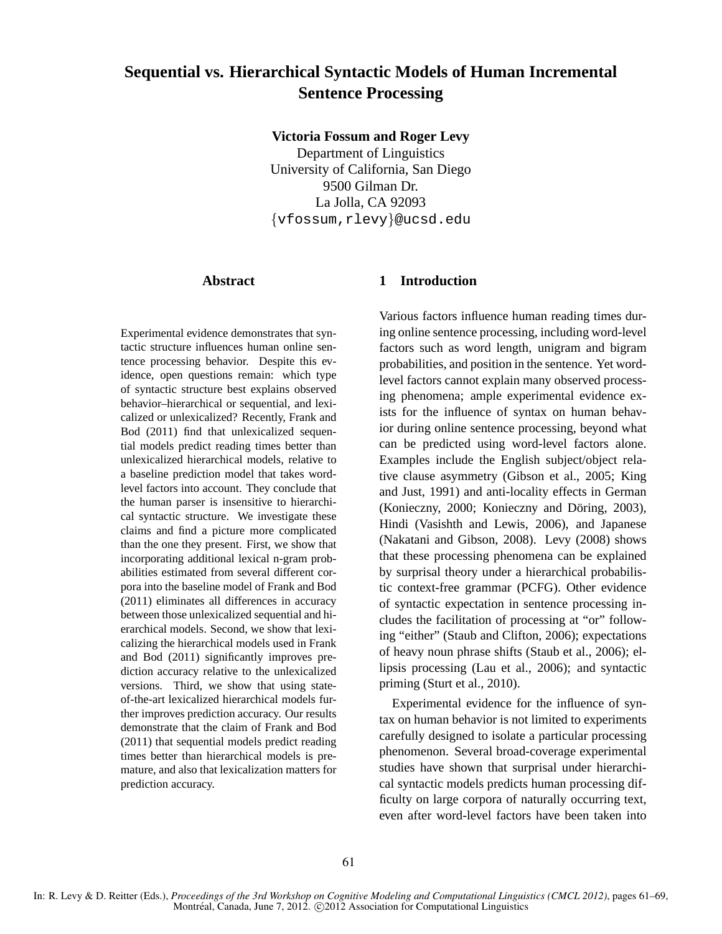# **Sequential vs. Hierarchical Syntactic Models of Human Incremental Sentence Processing**

**Victoria Fossum and Roger Levy**

Department of Linguistics University of California, San Diego 9500 Gilman Dr. La Jolla, CA 92093 {vfossum,rlevy}@ucsd.edu

## **Abstract**

Experimental evidence demonstrates that syntactic structure influences human online sentence processing behavior. Despite this evidence, open questions remain: which type of syntactic structure best explains observed behavior–hierarchical or sequential, and lexicalized or unlexicalized? Recently, Frank and Bod (2011) find that unlexicalized sequential models predict reading times better than unlexicalized hierarchical models, relative to a baseline prediction model that takes wordlevel factors into account. They conclude that the human parser is insensitive to hierarchical syntactic structure. We investigate these claims and find a picture more complicated than the one they present. First, we show that incorporating additional lexical n-gram probabilities estimated from several different corpora into the baseline model of Frank and Bod (2011) eliminates all differences in accuracy between those unlexicalized sequential and hierarchical models. Second, we show that lexicalizing the hierarchical models used in Frank and Bod (2011) significantly improves prediction accuracy relative to the unlexicalized versions. Third, we show that using stateof-the-art lexicalized hierarchical models further improves prediction accuracy. Our results demonstrate that the claim of Frank and Bod (2011) that sequential models predict reading times better than hierarchical models is premature, and also that lexicalization matters for prediction accuracy.

# **1 Introduction**

Various factors influence human reading times during online sentence processing, including word-level factors such as word length, unigram and bigram probabilities, and position in the sentence. Yet wordlevel factors cannot explain many observed processing phenomena; ample experimental evidence exists for the influence of syntax on human behavior during online sentence processing, beyond what can be predicted using word-level factors alone. Examples include the English subject/object relative clause asymmetry (Gibson et al., 2005; King and Just, 1991) and anti-locality effects in German (Konieczny, 2000; Konieczny and Döring, 2003), Hindi (Vasishth and Lewis, 2006), and Japanese (Nakatani and Gibson, 2008). Levy (2008) shows that these processing phenomena can be explained by surprisal theory under a hierarchical probabilistic context-free grammar (PCFG). Other evidence of syntactic expectation in sentence processing includes the facilitation of processing at "or" following "either" (Staub and Clifton, 2006); expectations of heavy noun phrase shifts (Staub et al., 2006); ellipsis processing (Lau et al., 2006); and syntactic priming (Sturt et al., 2010).

Experimental evidence for the influence of syntax on human behavior is not limited to experiments carefully designed to isolate a particular processing phenomenon. Several broad-coverage experimental studies have shown that surprisal under hierarchical syntactic models predicts human processing difficulty on large corpora of naturally occurring text, even after word-level factors have been taken into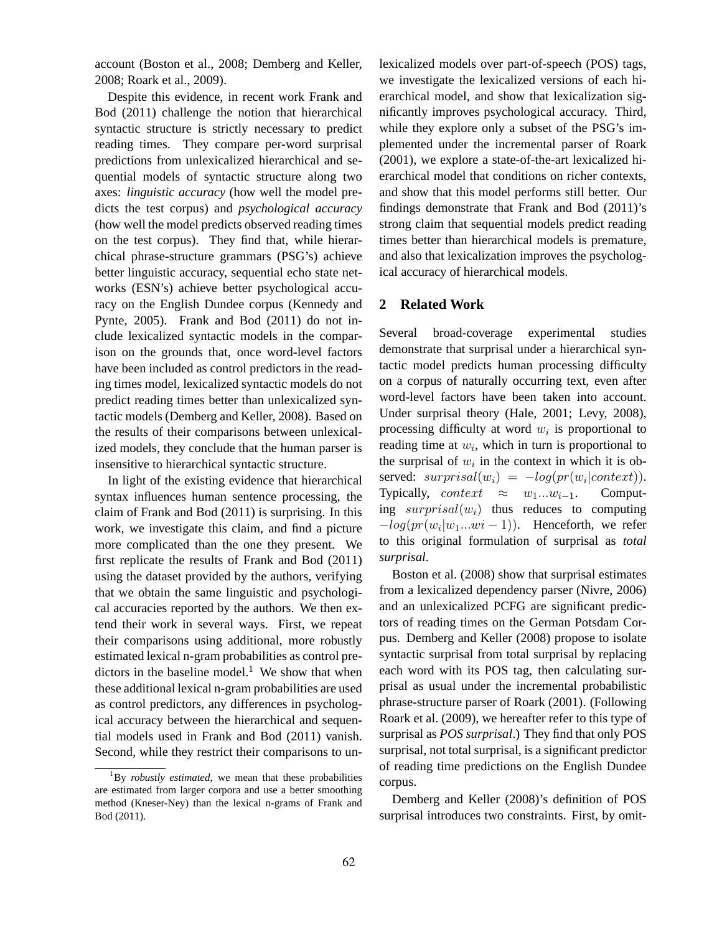account (Boston et al., 2008; Demberg and Keller, 2008; Roark et al., 2009).

Despite this evidence, in recent work Frank and Bod (2011) challenge the notion that hierarchical syntactic structure is strictly necessary to predict reading times. They compare per-word surprisal predictions from unlexicalized hierarchical and sequential models of syntactic structure along two axes: *linguistic accuracy* (how well the model predicts the test corpus) and *psychological accuracy* (how well the model predicts observed reading times on the test corpus). They find that, while hierarchical phrase-structure grammars (PSG's) achieve better linguistic accuracy, sequential echo state networks (ESN's) achieve better psychological accuracy on the English Dundee corpus (Kennedy and Pynte, 2005). Frank and Bod (2011) do not include lexicalized syntactic models in the comparison on the grounds that, once word-level factors have been included as control predictors in the reading times model, lexicalized syntactic models do not predict reading times better than unlexicalized syntactic models (Demberg and Keller, 2008). Based on the results of their comparisons between unlexicalized models, they conclude that the human parser is insensitive to hierarchical syntactic structure.

In light of the existing evidence that hierarchical syntax influences human sentence processing, the claim of Frank and Bod (2011) is surprising. In this work, we investigate this claim, and find a picture more complicated than the one they present. We first replicate the results of Frank and Bod (2011) using the dataset provided by the authors, verifying that we obtain the same linguistic and psychological accuracies reported by the authors. We then extend their work in several ways. First, we repeat their comparisons using additional, more robustly estimated lexical n-gram probabilities as control predictors in the baseline model.<sup>1</sup> We show that when these additional lexical n-gram probabilities are used as control predictors, any differences in psychological accuracy between the hierarchical and sequential models used in Frank and Bod (2011) vanish. Second, while they restrict their comparisons to unlexicalized models over part-of-speech (POS) tags, we investigate the lexicalized versions of each hierarchical model, and show that lexicalization significantly improves psychological accuracy. Third, while they explore only a subset of the PSG's implemented under the incremental parser of Roark (2001), we explore a state-of-the-art lexicalized hierarchical model that conditions on richer contexts, and show that this model performs still better. Our findings demonstrate that Frank and Bod (2011)'s strong claim that sequential models predict reading times better than hierarchical models is premature, and also that lexicalization improves the psychological accuracy of hierarchical models.

#### **2 Related Work**

Several broad-coverage experimental studies demonstrate that surprisal under a hierarchical syntactic model predicts human processing difficulty on a corpus of naturally occurring text, even after word-level factors have been taken into account. Under surprisal theory (Hale, 2001; Levy, 2008), processing difficulty at word  $w_i$  is proportional to reading time at  $w_i$ , which in turn is proportional to the surprisal of  $w_i$  in the context in which it is observed:  $surprisal(w_i) = -log(pr(w_i|context)).$ Typically, *context*  $\approx w_1...w_{i-1}$ . Computing  $surprisal(w_i)$  thus reduces to computing  $-log(pr(w_i|w_1...w_i-1))$ . Henceforth, we refer to this original formulation of surprisal as *total surprisal*.

Boston et al. (2008) show that surprisal estimates from a lexicalized dependency parser (Nivre, 2006) and an unlexicalized PCFG are significant predictors of reading times on the German Potsdam Corpus. Demberg and Keller (2008) propose to isolate syntactic surprisal from total surprisal by replacing each word with its POS tag, then calculating surprisal as usual under the incremental probabilistic phrase-structure parser of Roark (2001). (Following Roark et al. (2009), we hereafter refer to this type of surprisal as *POS surprisal*.) They find that only POS surprisal, not total surprisal, is a significant predictor of reading time predictions on the English Dundee corpus.

Demberg and Keller (2008)'s definition of POS surprisal introduces two constraints. First, by omit-

<sup>&</sup>lt;sup>1</sup>By *robustly estimated*, we mean that these probabilities are estimated from larger corpora and use a better smoothing method (Kneser-Ney) than the lexical n-grams of Frank and Bod (2011).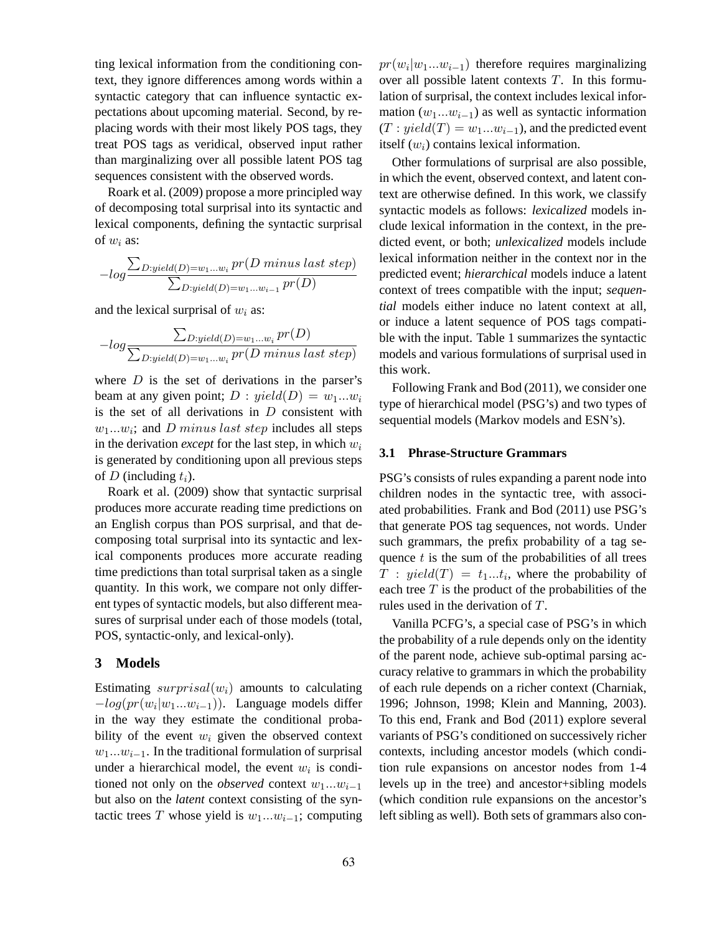ting lexical information from the conditioning context, they ignore differences among words within a syntactic category that can influence syntactic expectations about upcoming material. Second, by replacing words with their most likely POS tags, they treat POS tags as veridical, observed input rather than marginalizing over all possible latent POS tag sequences consistent with the observed words.

Roark et al. (2009) propose a more principled way of decomposing total surprisal into its syntactic and lexical components, defining the syntactic surprisal of  $w_i$  as:

$$
-log \frac{\sum_{D: yield(D) = w_1...w_i} pr(D \text{ minus last step})}{\sum_{D: yield(D) = w_1...w_{i-1}} pr(D)}
$$

and the lexical surprisal of  $w_i$  as:

$$
-log \frac{\sum_{D: yield(D) = w_1...w_i} pr(D)}{\sum_{D: yield(D) = w_1...w_i} pr(D \text{ minus last step)}}
$$

where  $D$  is the set of derivations in the parser's beam at any given point;  $D : yield(D) = w_1...w_i$ is the set of all derivations in  $D$  consistent with  $w_1...w_i$ ; and *D* minus last step includes all steps in the derivation *except* for the last step, in which  $w_i$ is generated by conditioning upon all previous steps of D (including  $t_i$ ).

Roark et al. (2009) show that syntactic surprisal produces more accurate reading time predictions on an English corpus than POS surprisal, and that decomposing total surprisal into its syntactic and lexical components produces more accurate reading time predictions than total surprisal taken as a single quantity. In this work, we compare not only different types of syntactic models, but also different measures of surprisal under each of those models (total, POS, syntactic-only, and lexical-only).

## **3 Models**

Estimating  $surprisal(w<sub>i</sub>)$  amounts to calculating  $-log(pr(w_i|w_1...w_{i-1}))$ . Language models differ in the way they estimate the conditional probability of the event  $w_i$  given the observed context  $w_1...w_{i-1}$ . In the traditional formulation of surprisal under a hierarchical model, the event  $w_i$  is conditioned not only on the *observed* context  $w_1...w_{i-1}$ but also on the *latent* context consisting of the syntactic trees T whose yield is  $w_1...w_{i-1}$ ; computing

 $pr(w_i|w_1...w_{i-1})$  therefore requires marginalizing over all possible latent contexts  $T$ . In this formulation of surprisal, the context includes lexical information  $(w_1...w_{i-1})$  as well as syntactic information  $(T : yield(T) = w_1...w_{i-1})$ , and the predicted event itself  $(w_i)$  contains lexical information.

Other formulations of surprisal are also possible, in which the event, observed context, and latent context are otherwise defined. In this work, we classify syntactic models as follows: *lexicalized* models include lexical information in the context, in the predicted event, or both; *unlexicalized* models include lexical information neither in the context nor in the predicted event; *hierarchical* models induce a latent context of trees compatible with the input; *sequential* models either induce no latent context at all, or induce a latent sequence of POS tags compatible with the input. Table 1 summarizes the syntactic models and various formulations of surprisal used in this work.

Following Frank and Bod (2011), we consider one type of hierarchical model (PSG's) and two types of sequential models (Markov models and ESN's).

#### **3.1 Phrase-Structure Grammars**

PSG's consists of rules expanding a parent node into children nodes in the syntactic tree, with associated probabilities. Frank and Bod (2011) use PSG's that generate POS tag sequences, not words. Under such grammars, the prefix probability of a tag sequence  $t$  is the sum of the probabilities of all trees  $T: yield(T) = t_1...t_i$ , where the probability of each tree  $T$  is the product of the probabilities of the rules used in the derivation of T.

Vanilla PCFG's, a special case of PSG's in which the probability of a rule depends only on the identity of the parent node, achieve sub-optimal parsing accuracy relative to grammars in which the probability of each rule depends on a richer context (Charniak, 1996; Johnson, 1998; Klein and Manning, 2003). To this end, Frank and Bod (2011) explore several variants of PSG's conditioned on successively richer contexts, including ancestor models (which condition rule expansions on ancestor nodes from 1-4 levels up in the tree) and ancestor+sibling models (which condition rule expansions on the ancestor's left sibling as well). Both sets of grammars also con-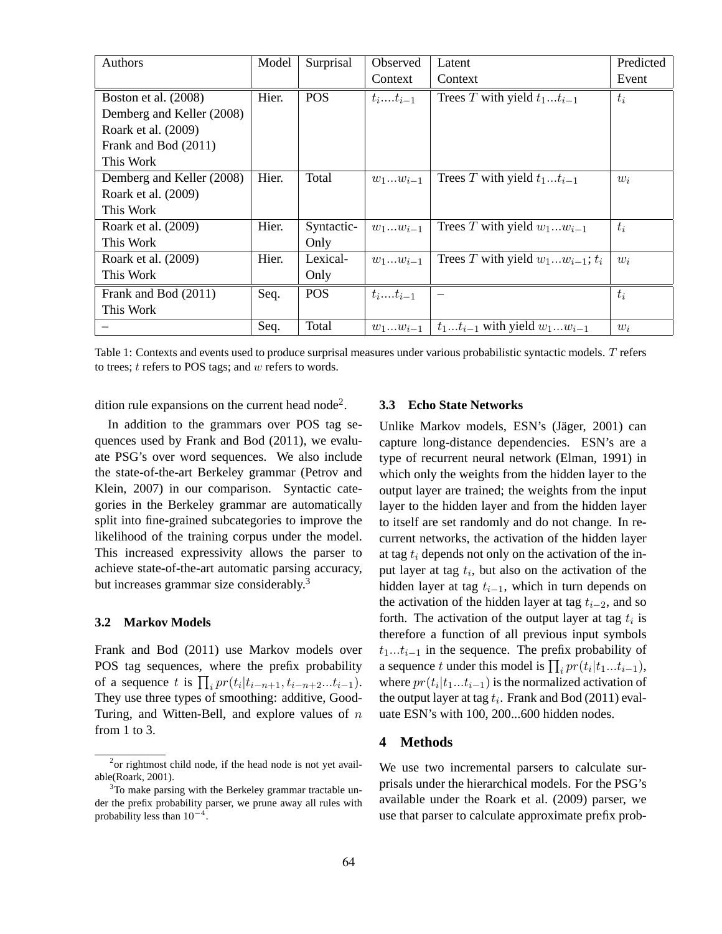| Authors                   | Model | Surprisal  | Observed     | Latent                                  | Predicted |
|---------------------------|-------|------------|--------------|-----------------------------------------|-----------|
|                           |       |            | Context      | Context                                 | Event     |
| Boston et al. (2008)      | Hier. | <b>POS</b> | $t_it_{i-1}$ | Trees T with yield $t_1t_{i-1}$         | $t_i$     |
| Demberg and Keller (2008) |       |            |              |                                         |           |
| Roark et al. (2009)       |       |            |              |                                         |           |
| Frank and Bod (2011)      |       |            |              |                                         |           |
| This Work                 |       |            |              |                                         |           |
| Demberg and Keller (2008) | Hier. | Total      | $w_1w_{i-1}$ | Trees T with yield $t_1t_{i-1}$         | $w_i$     |
| Roark et al. (2009)       |       |            |              |                                         |           |
| This Work                 |       |            |              |                                         |           |
| Roark et al. (2009)       | Hier. | Syntactic- | $w_1w_{i-1}$ | Trees T with yield $w_1w_{i-1}$         | $t_i$     |
| This Work                 |       | Only       |              |                                         |           |
| Roark et al. (2009)       | Hier. | Lexical-   | $w_1w_{i-1}$ | Trees T with yield $w_1w_{i-1}$ ; $t_i$ | $w_i$     |
| This Work                 |       | Only       |              |                                         |           |
| Frank and Bod (2011)      | Seq.  | <b>POS</b> | $t_it_{i-1}$ |                                         | $t_i$     |
| This Work                 |       |            |              |                                         |           |
|                           | Seq.  | Total      | $w_1w_{i-1}$ | $t_1t_{i-1}$ with yield $w_1w_{i-1}$    | $w_i$     |

Table 1: Contexts and events used to produce surprisal measures under various probabilistic syntactic models. T refers to trees;  $t$  refers to POS tags; and  $w$  refers to words.

dition rule expansions on the current head node<sup>2</sup>.

In addition to the grammars over POS tag sequences used by Frank and Bod (2011), we evaluate PSG's over word sequences. We also include the state-of-the-art Berkeley grammar (Petrov and Klein, 2007) in our comparison. Syntactic categories in the Berkeley grammar are automatically split into fine-grained subcategories to improve the likelihood of the training corpus under the model. This increased expressivity allows the parser to achieve state-of-the-art automatic parsing accuracy, but increases grammar size considerably.<sup>3</sup>

#### **3.2 Markov Models**

Frank and Bod (2011) use Markov models over POS tag sequences, where the prefix probability of a sequence t is  $\prod_i pr(t_i|t_{i-n+1}, t_{i-n+2}...t_{i-1}).$ They use three types of smoothing: additive, Good-Turing, and Witten-Bell, and explore values of  $n$ from 1 to 3.

#### **3.3 Echo State Networks**

Unlike Markov models, ESN's (Jäger, 2001) can capture long-distance dependencies. ESN's are a type of recurrent neural network (Elman, 1991) in which only the weights from the hidden layer to the output layer are trained; the weights from the input layer to the hidden layer and from the hidden layer to itself are set randomly and do not change. In recurrent networks, the activation of the hidden layer at tag  $t_i$  depends not only on the activation of the input layer at tag  $t_i$ , but also on the activation of the hidden layer at tag  $t_{i-1}$ , which in turn depends on the activation of the hidden layer at tag  $t_{i-2}$ , and so forth. The activation of the output layer at tag  $t_i$  is therefore a function of all previous input symbols  $t_1...t_{i-1}$  in the sequence. The prefix probability of a sequence t under this model is  $\prod_i pr(t_i|t_1...t_{i-1}),$ where  $pr(t_i|t_1...t_{i-1})$  is the normalized activation of the output layer at tag  $t_i$ . Frank and Bod (2011) evaluate ESN's with 100, 200...600 hidden nodes.

## **4 Methods**

We use two incremental parsers to calculate surprisals under the hierarchical models. For the PSG's available under the Roark et al. (2009) parser, we use that parser to calculate approximate prefix prob-

 $2$ or rightmost child node, if the head node is not yet available(Roark, 2001).

<sup>&</sup>lt;sup>3</sup>To make parsing with the Berkeley grammar tractable under the prefix probability parser, we prune away all rules with probability less than  $10^{-4}$ .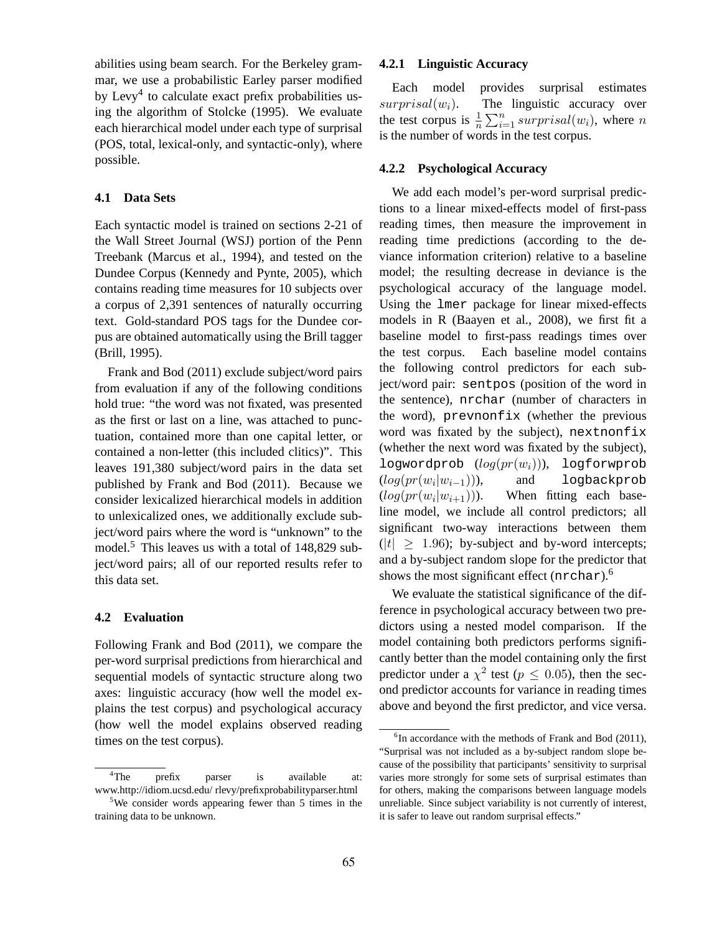abilities using beam search. For the Berkeley grammar, we use a probabilistic Earley parser modified by Levy<sup>4</sup> to calculate exact prefix probabilities using the algorithm of Stolcke (1995). We evaluate each hierarchical model under each type of surprisal (POS, total, lexical-only, and syntactic-only), where possible.

#### **4.1 Data Sets**

Each syntactic model is trained on sections 2-21 of the Wall Street Journal (WSJ) portion of the Penn Treebank (Marcus et al., 1994), and tested on the Dundee Corpus (Kennedy and Pynte, 2005), which contains reading time measures for 10 subjects over a corpus of 2,391 sentences of naturally occurring text. Gold-standard POS tags for the Dundee corpus are obtained automatically using the Brill tagger (Brill, 1995).

Frank and Bod (2011) exclude subject/word pairs from evaluation if any of the following conditions hold true: "the word was not fixated, was presented as the first or last on a line, was attached to punctuation, contained more than one capital letter, or contained a non-letter (this included clitics)". This leaves 191,380 subject/word pairs in the data set published by Frank and Bod (2011). Because we consider lexicalized hierarchical models in addition to unlexicalized ones, we additionally exclude subject/word pairs where the word is "unknown" to the model.<sup>5</sup> This leaves us with a total of 148,829 subject/word pairs; all of our reported results refer to this data set.

#### **4.2 Evaluation**

Following Frank and Bod (2011), we compare the per-word surprisal predictions from hierarchical and sequential models of syntactic structure along two axes: linguistic accuracy (how well the model explains the test corpus) and psychological accuracy (how well the model explains observed reading times on the test corpus).

### **4.2.1 Linguistic Accuracy**

Each model provides surprisal estimates  $surprisal(w<sub>i</sub>)$ . The linguistic accuracy over the test corpus is  $\frac{1}{n} \sum_{i=1}^{n} \text{surprisal}(w_i)$ , where n is the number of words in the test corpus.

#### **4.2.2 Psychological Accuracy**

We add each model's per-word surprisal predictions to a linear mixed-effects model of first-pass reading times, then measure the improvement in reading time predictions (according to the deviance information criterion) relative to a baseline model; the resulting decrease in deviance is the psychological accuracy of the language model. Using the lmer package for linear mixed-effects models in R (Baayen et al., 2008), we first fit a baseline model to first-pass readings times over the test corpus. Each baseline model contains the following control predictors for each subject/word pair: sentpos (position of the word in the sentence), nrchar (number of characters in the word), prevnonfix (whether the previous word was fixated by the subject), nextnonfix (whether the next word was fixated by the subject), logwordprob  $(log(pr(w_i))),$  logforwprob  $(log(pr(w_i|w_{i-1}))),$ and logbackprob  $(log(pr(w_i|w_{i+1}))).$ When fitting each baseline model, we include all control predictors; all significant two-way interactions between them  $(|t| \geq 1.96)$ ; by-subject and by-word intercepts; and a by-subject random slope for the predictor that shows the most significant effect (nrchar).<sup>6</sup>

We evaluate the statistical significance of the difference in psychological accuracy between two predictors using a nested model comparison. If the model containing both predictors performs significantly better than the model containing only the first predictor under a  $\chi^2$  test ( $p \leq 0.05$ ), then the second predictor accounts for variance in reading times above and beyond the first predictor, and vice versa.

<sup>&</sup>lt;sup>4</sup>The prefix parser is available at: www.http://idiom.ucsd.edu/ rlevy/prefixprobabilityparser.html

<sup>5</sup>We consider words appearing fewer than 5 times in the training data to be unknown.

<sup>&</sup>lt;sup>6</sup>In accordance with the methods of Frank and Bod (2011), "Surprisal was not included as a by-subject random slope because of the possibility that participants' sensitivity to surprisal varies more strongly for some sets of surprisal estimates than for others, making the comparisons between language models unreliable. Since subject variability is not currently of interest, it is safer to leave out random surprisal effects."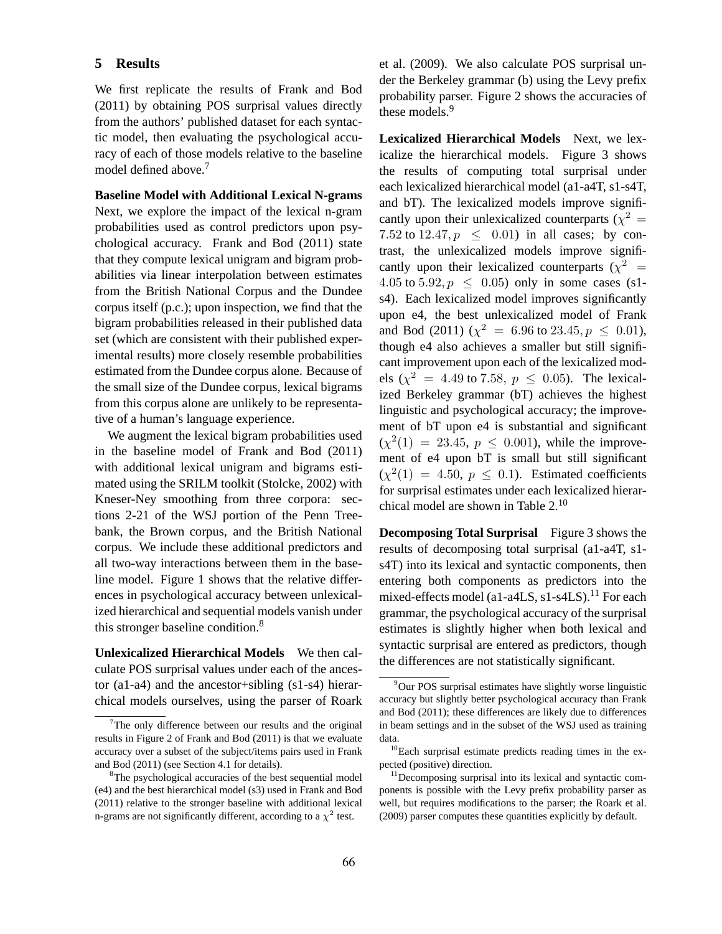#### **5 Results**

We first replicate the results of Frank and Bod (2011) by obtaining POS surprisal values directly from the authors' published dataset for each syntactic model, then evaluating the psychological accuracy of each of those models relative to the baseline model defined above.<sup>7</sup>

**Baseline Model with Additional Lexical N-grams** Next, we explore the impact of the lexical n-gram probabilities used as control predictors upon psychological accuracy. Frank and Bod (2011) state that they compute lexical unigram and bigram probabilities via linear interpolation between estimates from the British National Corpus and the Dundee corpus itself (p.c.); upon inspection, we find that the bigram probabilities released in their published data set (which are consistent with their published experimental results) more closely resemble probabilities estimated from the Dundee corpus alone. Because of the small size of the Dundee corpus, lexical bigrams from this corpus alone are unlikely to be representative of a human's language experience.

We augment the lexical bigram probabilities used in the baseline model of Frank and Bod (2011) with additional lexical unigram and bigrams estimated using the SRILM toolkit (Stolcke, 2002) with Kneser-Ney smoothing from three corpora: sections 2-21 of the WSJ portion of the Penn Treebank, the Brown corpus, and the British National corpus. We include these additional predictors and all two-way interactions between them in the baseline model. Figure 1 shows that the relative differences in psychological accuracy between unlexicalized hierarchical and sequential models vanish under this stronger baseline condition.<sup>8</sup>

**Unlexicalized Hierarchical Models** We then calculate POS surprisal values under each of the ancestor (a1-a4) and the ancestor+sibling (s1-s4) hierarchical models ourselves, using the parser of Roark et al. (2009). We also calculate POS surprisal under the Berkeley grammar (b) using the Levy prefix probability parser. Figure 2 shows the accuracies of these models.<sup>9</sup>

**Lexicalized Hierarchical Models** Next, we lexicalize the hierarchical models. Figure 3 shows the results of computing total surprisal under each lexicalized hierarchical model (a1-a4T, s1-s4T, and bT). The lexicalized models improve significantly upon their unlexicalized counterparts ( $\chi^2$  = 7.52 to 12.47,  $p \leq 0.01$ ) in all cases; by contrast, the unlexicalized models improve significantly upon their lexicalized counterparts ( $\chi^2$  = 4.05 to 5.92,  $p \le 0.05$ ) only in some cases (s1s4). Each lexicalized model improves significantly upon e4, the best unlexicalized model of Frank and Bod (2011) ( $\chi^2 = 6.96$  to 23.45,  $p \le 0.01$ ), though e4 also achieves a smaller but still significant improvement upon each of the lexicalized models ( $\chi^2 = 4.49$  to 7.58,  $p \le 0.05$ ). The lexicalized Berkeley grammar (bT) achieves the highest linguistic and psychological accuracy; the improvement of bT upon e4 is substantial and significant  $(\chi^2(1) = 23.45, p \le 0.001)$ , while the improvement of e4 upon bT is small but still significant  $(\chi^2(1) = 4.50, p \le 0.1)$ . Estimated coefficients for surprisal estimates under each lexicalized hierarchical model are shown in Table 2.<sup>10</sup>

**Decomposing Total Surprisal** Figure 3 shows the results of decomposing total surprisal (a1-a4T, s1 s4T) into its lexical and syntactic components, then entering both components as predictors into the mixed-effects model (a1-a4LS,  $s1-s4LS$ ).<sup>11</sup> For each grammar, the psychological accuracy of the surprisal estimates is slightly higher when both lexical and syntactic surprisal are entered as predictors, though the differences are not statistically significant.

 $7$ The only difference between our results and the original results in Figure 2 of Frank and Bod (2011) is that we evaluate accuracy over a subset of the subject/items pairs used in Frank and Bod (2011) (see Section 4.1 for details).

<sup>&</sup>lt;sup>8</sup>The psychological accuracies of the best sequential model (e4) and the best hierarchical model (s3) used in Frank and Bod (2011) relative to the stronger baseline with additional lexical n-grams are not significantly different, according to a  $\chi^2$  test.

<sup>9</sup>Our POS surprisal estimates have slightly worse linguistic accuracy but slightly better psychological accuracy than Frank and Bod (2011); these differences are likely due to differences in beam settings and in the subset of the WSJ used as training data.

<sup>10</sup>Each surprisal estimate predicts reading times in the expected (positive) direction.

<sup>&</sup>lt;sup>11</sup>Decomposing surprisal into its lexical and syntactic components is possible with the Levy prefix probability parser as well, but requires modifications to the parser; the Roark et al. (2009) parser computes these quantities explicitly by default.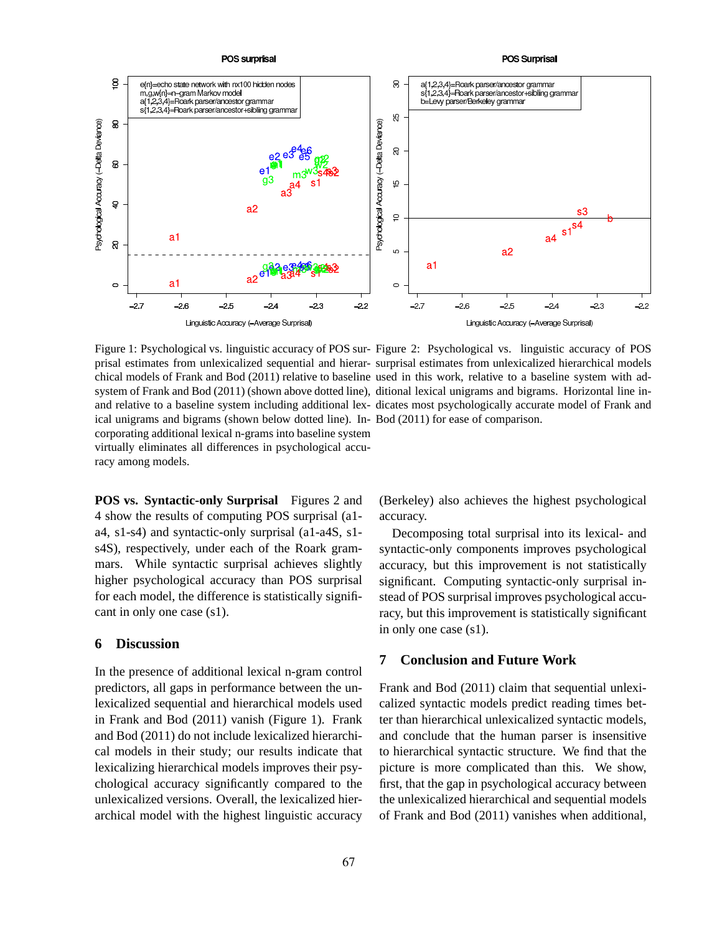

Figure 1: Psychological vs. linguistic accuracy of POS sur-Figure 2: Psychological vs. linguistic accuracy of POS ical unigrams and bigrams (shown below dotted line). In-Bod (2011) for ease of comparison. corporating additional lexical n-grams into baseline system virtually eliminates all differences in psychological accuracy among models.

prisal estimates from unlexicalized sequential and hierar-surprisal estimates from unlexicalized hierarchical models chical models of Frank and Bod (2011) relative to baseline used in this work, relative to a baseline system with adsystem of Frank and Bod (2011) (shown above dotted line), ditional lexical unigrams and bigrams. Horizontal line inand relative to a baseline system including additional lex-dicates most psychologically accurate model of Frank and

**POS vs. Syntactic-only Surprisal** Figures 2 and 4 show the results of computing POS surprisal (a1 a4, s1-s4) and syntactic-only surprisal (a1-a4S, s1 s4S), respectively, under each of the Roark grammars. While syntactic surprisal achieves slightly higher psychological accuracy than POS surprisal for each model, the difference is statistically significant in only one case (s1).

#### **6 Discussion**

In the presence of additional lexical n-gram control predictors, all gaps in performance between the unlexicalized sequential and hierarchical models used in Frank and Bod (2011) vanish (Figure 1). Frank and Bod (2011) do not include lexicalized hierarchical models in their study; our results indicate that lexicalizing hierarchical models improves their psychological accuracy significantly compared to the unlexicalized versions. Overall, the lexicalized hierarchical model with the highest linguistic accuracy

(Berkeley) also achieves the highest psychological accuracy.

Decomposing total surprisal into its lexical- and syntactic-only components improves psychological accuracy, but this improvement is not statistically significant. Computing syntactic-only surprisal instead of POS surprisal improves psychological accuracy, but this improvement is statistically significant in only one case (s1).

## **7 Conclusion and Future Work**

Frank and Bod (2011) claim that sequential unlexicalized syntactic models predict reading times better than hierarchical unlexicalized syntactic models, and conclude that the human parser is insensitive to hierarchical syntactic structure. We find that the picture is more complicated than this. We show, first, that the gap in psychological accuracy between the unlexicalized hierarchical and sequential models of Frank and Bod (2011) vanishes when additional,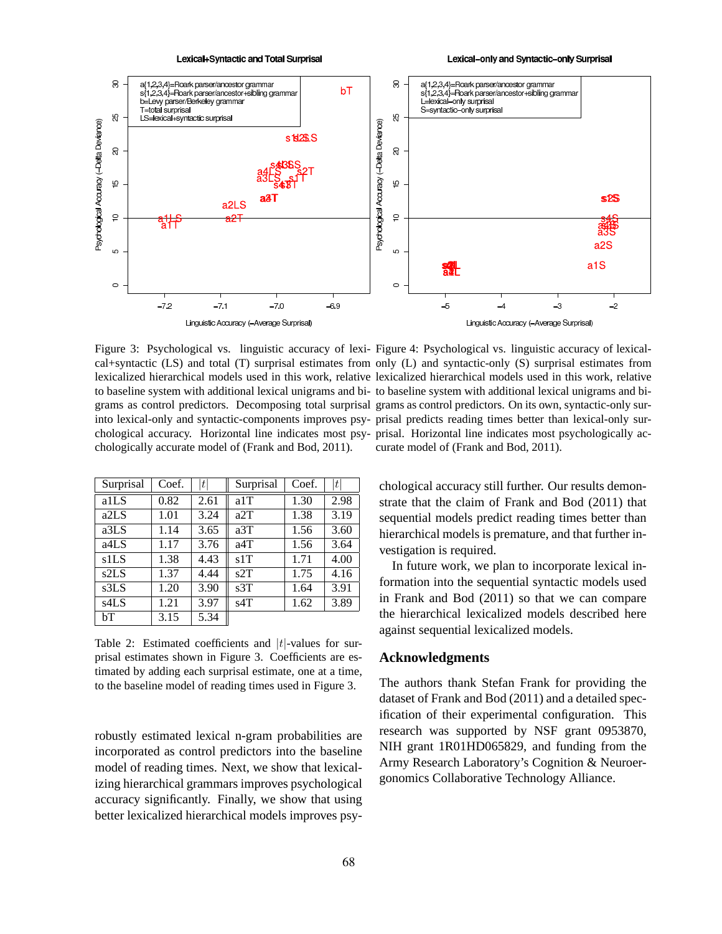

Lexical-only and Syntactic-only Surprisal



Figure 3: Psychological vs. linguistic accuracy of lexi-Figure 4: Psychological vs. linguistic accuracy of lexicalchologically accurate model of (Frank and Bod, 2011).

| Surprisal         | Coef. | t    | Surprisal | Coef. | t    |
|-------------------|-------|------|-----------|-------|------|
| a1LS              | 0.82  | 2.61 | a1T       | 1.30  | 2.98 |
| a2LS              | 1.01  | 3.24 | a2T       | 1.38  | 3.19 |
| a3LS              | 1.14  | 3.65 | a3T       | 1.56  | 3.60 |
| a <sub>4</sub> LS | 1.17  | 3.76 | a4T       | 1.56  | 3.64 |
| s1LS              | 1.38  | 4.43 | s1T       | 1.71  | 4.00 |
| s2LS              | 1.37  | 4.44 | s2T       | 1.75  | 4.16 |
| s3LS              | 1.20  | 3.90 | s3T       | 1.64  | 3.91 |
| s4LS              | 1.21  | 3.97 | s4T       | 1.62  | 3.89 |
| bΤ                | 3.15  | 5.34 |           |       |      |

Table 2: Estimated coefficients and  $|t|$ -values for surprisal estimates shown in Figure 3. Coefficients are estimated by adding each surprisal estimate, one at a time, to the baseline model of reading times used in Figure 3.

robustly estimated lexical n-gram probabilities are incorporated as control predictors into the baseline model of reading times. Next, we show that lexicalizing hierarchical grammars improves psychological accuracy significantly. Finally, we show that using better lexicalized hierarchical models improves psy-

cal+syntactic (LS) and total (T) surprisal estimates from only (L) and syntactic-only (S) surprisal estimates from lexicalized hierarchical models used in this work, relative lexicalized hierarchical models used in this work, relative to baseline system with additional lexical unigrams and bi-to baseline system with additional lexical unigrams and bigrams as control predictors. Decomposing total surprisal grams as control predictors. On its own, syntactic-only surinto lexical-only and syntactic-components improves psy-prisal predicts reading times better than lexical-only surchological accuracy. Horizontal line indicates most psy-prisal. Horizontal line indicates most psychologically accurate model of (Frank and Bod, 2011).

chological accuracy still further. Our results demonstrate that the claim of Frank and Bod (2011) that sequential models predict reading times better than hierarchical models is premature, and that further investigation is required.

In future work, we plan to incorporate lexical information into the sequential syntactic models used in Frank and Bod (2011) so that we can compare the hierarchical lexicalized models described here against sequential lexicalized models.

# **Acknowledgments**

The authors thank Stefan Frank for providing the dataset of Frank and Bod (2011) and a detailed specification of their experimental configuration. This research was supported by NSF grant 0953870, NIH grant 1R01HD065829, and funding from the Army Research Laboratory's Cognition & Neuroergonomics Collaborative Technology Alliance.